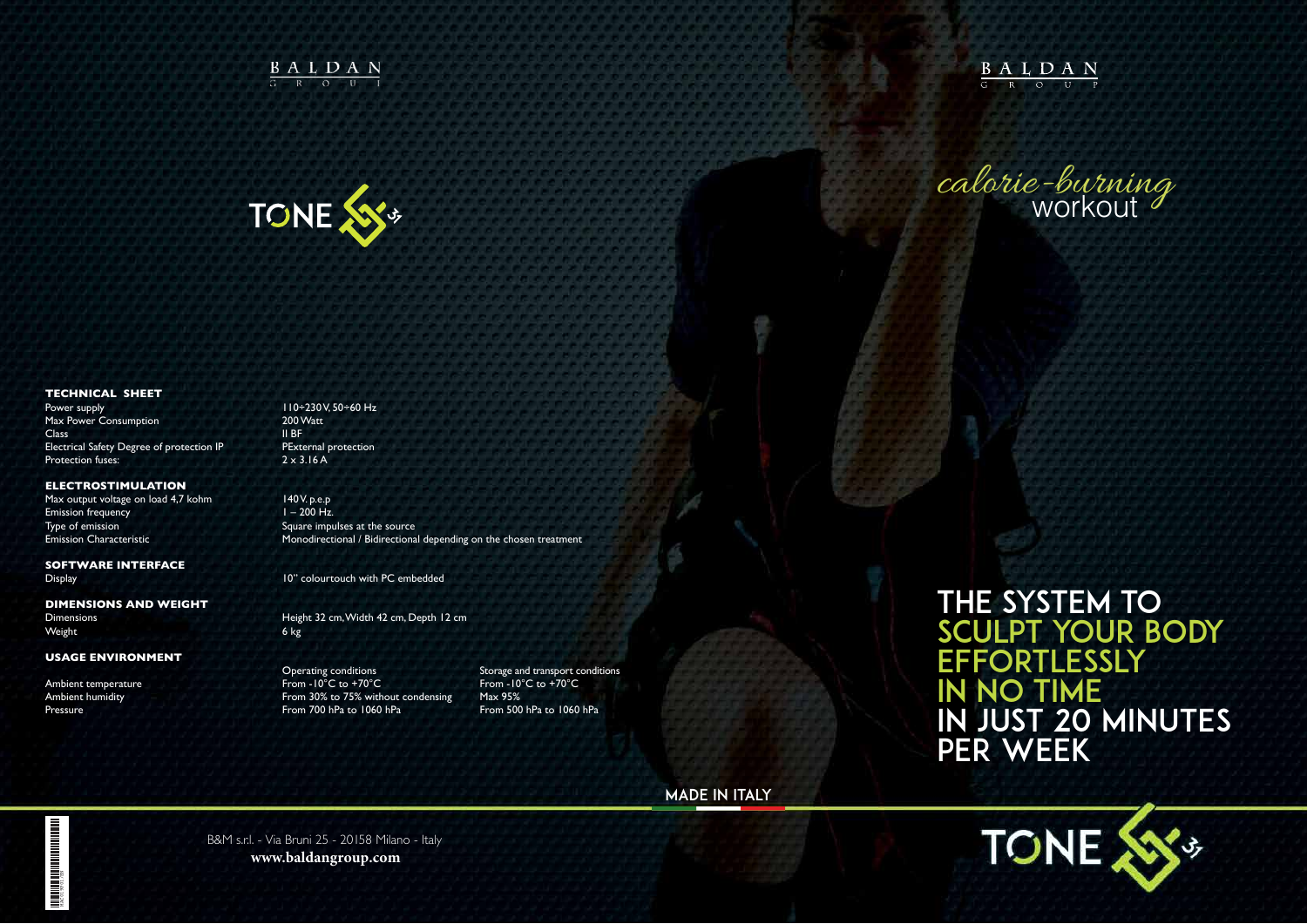B&M s.r.l. - Via Bruni 25 - 20158 Milano - Italy **www.baldangroup.com**

 $\underbrace{B A L D A N}_{\text{G}}$ 

### MADE IN ITALY

the system TO SCULPT YOUR BODY **EFFORTLESSLY** IN NO TIME in just 20 minutes per week

**TONE** 





#### **TECHNICAL SHEET**

Power supply 110÷230 V, 50÷60 Hz Max Power Consumption 200 Watt Class II BF Electrical Safety Degree of protection IP PExternal protection Protection fuses: 2 x 3.16 A

**DIMENSIONS AND WEIGHT** Weight 6 kg

#### **ELECTROSTIMULATION**

Max output voltage on load 4,7 kohm 140 V. p.e.p Emission frequency 1 – 200 Hz. Type of emission Square impulses at the source

**THE REAL PROPERTY AND ALL PROPERTY AND THE REAL PROPERTY.** MAC019P01/EN

Emission Characteristic Monodirectional / Bidirectional depending on the chosen treatment

# **SOFTWARE INTERFACE**

Display 10" colourtouch with PC embedded

Dimensions Height 32 cm, Width 42 cm, Depth 12 cm

Operating conditions Storage and transport conditions Ambient temperature From -10°C to +70°C From -10°C to +70°C Ambient humidity **Ambient humidity** From 30% to 75% without condensing Max 95% Pressure From 700 hPa to 1060 hPa **From 700 hPa for 1060 hPa** From 500 hPa to 1060 hPa

#### **USAGE ENVIRONMENT**

calorie-burning workout